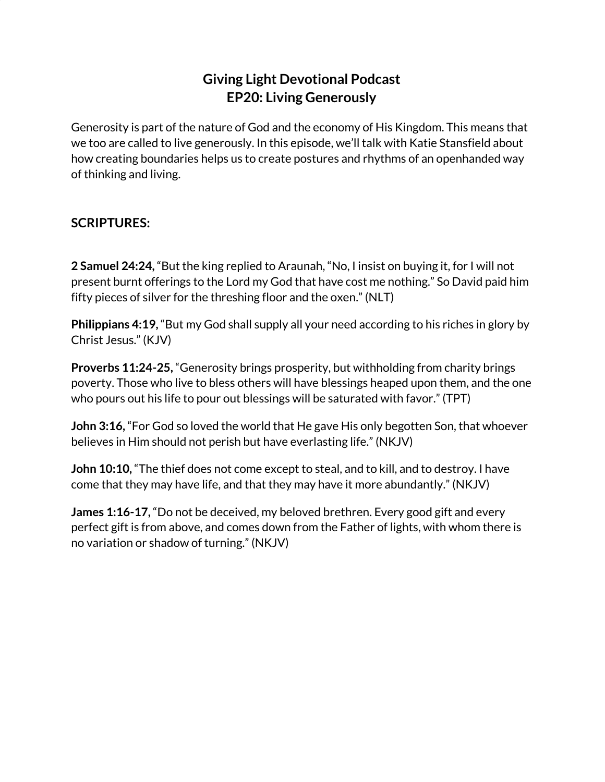## **Giving Light Devotional Podcast EP20: Living Generously**

Generosity is part of the nature of God and the economy of His Kingdom. This means that we too are called to live generously. In this episode, we'll talk with Katie Stansfield about how creating boundaries helps us to create postures and rhythms of an openhanded way of thinking and living.

## **SCRIPTURES:**

**2 Samuel 24:24,** "But the king replied to Araunah, "No, I insist on buying it, for I will not present burnt offerings to the Lord my God that have cost me nothing." So David paid him fifty pieces of silver for the threshing floor and the oxen." (NLT)

**Philippians 4:19,** "But my God shall supply all your need according to his riches in glory by Christ Jesus." (KJV)

**Proverbs 11:24-25,** "Generosity brings prosperity, but withholding from charity brings poverty. Those who live to bless others will have blessings heaped upon them, and the one who pours out his life to pour out blessings will be saturated with favor." (TPT)

**John 3:16,** "For God so loved the world that He gave His only begotten Son, that whoever believes in Him should not perish but have everlasting life." (NKJV)

**John 10:10,** "The thief does not come except to steal, and to kill, and to destroy. I have come that they may have life, and that they may have it more abundantly." (NKJV)

**James 1:16-17,** "Do not be deceived, my beloved brethren. Every good gift and every perfect gift is from above, and comes down from the Father of lights, with whom there is no variation or shadow of turning." (NKJV)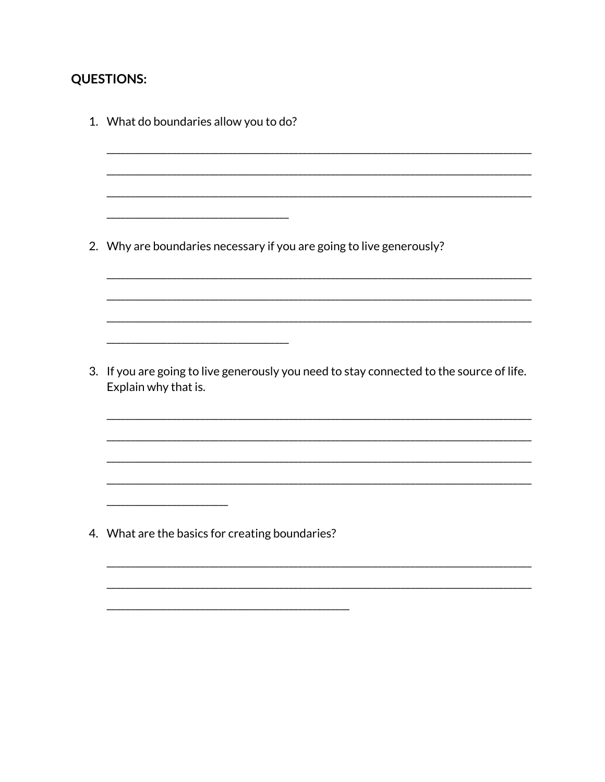## **QUESTIONS:**

1. What do boundaries allow you to do? 2. Why are boundaries necessary if you are going to live generously? 3. If you are going to live generously you need to stay connected to the source of life. Explain why that is. 4. What are the basics for creating boundaries?